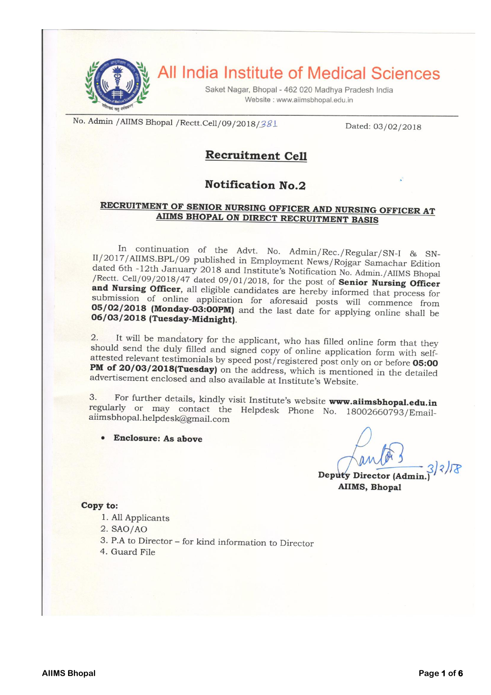

All India Institute of Medical Sciences

Saket Nagar, Bhopal - 462 020 Madhya Pradesh India Website: www.aiimsbhopal.edu.in

No. Admin / AIIMS Bhopal / Rectt.Cell/09/2018/381

Dated: 03/02/2018

# **Recruitment Cell**

# **Notification No.2**

# RECRUITMENT OF SENIOR NURSING OFFICER AND NURSING OFFICER AT AIIMS BHOPAL ON DIRECT RECRUITMENT BASIS

In continuation of the Advt. No. Admin/Rec./Regular/SN-I & SN-II/2017/AIIMS.BPL/09 published in Employment News/Rojgar Samachar Edition dated 6th -12th January 2018 and Institute's Notification No. Admin./AIIMS Bhopal /Rectt. Cell/09/2018/47 dated 09/01/2018, for the post of Senior Nursing Officer and Nursing Officer, all eligible candidates are hereby informed that process for submission of online application for aforesaid posts will commence from 05/02/2018 (Monday-03:00PM) and the last date for applying online shall be 06/03/2018 (Tuesday-Midnight).

It will be mandatory for the applicant, who has filled online form that they  $2.$ should send the duly filled and signed copy of online application form with selfattested relevant testimonials by speed post/registered post only on or before 05:00 PM of 20/03/2018(Tuesday) on the address, which is mentioned in the detailed advertisement enclosed and also available at Institute's Website.

For further details, kindly visit Institute's website www.aiimsbhopal.edu.in 3. regularly or may contact the Helpdesk Phone No. 18002660793/Emailaiimsbhopal.helpdesk@gmail.com

**Enclosure: As above** 

Deputy Director (Admin.) **AIIMS, Bhopal** 

#### Copy to:

- 1. All Applicants
- $2. SAO/AO$
- 3. P.A to Director for kind information to Director
- 4. Guard File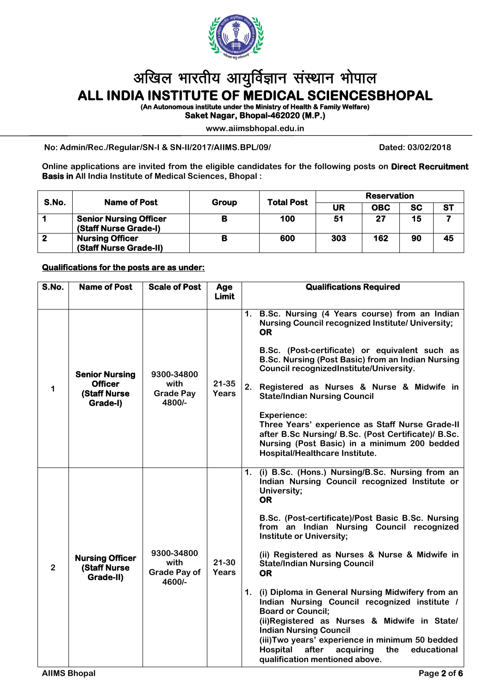

# अखिल भारतीय आयुर्विज्ञान संस्थान भोपाल **ALL INDIA INSTITUTE OF MEDICAL SCIENCESBHOPAL**

**(An Autonomous institute under the Ministry of Health & Family Welfare)** 

**Saket Nagar, Bhopal-462020 (M.P.)** 

**www.aiimsbhopal.edu.in**

**No: Admin/Rec./Regular/SN-I & SN-II/2017/AIIMS.BPL/09/ Dated: 03/02/2018**

**Online applications are invited from the eligible candidates for the following posts on Direct Recruitment Basis in All India Institute of Medical Sciences, Bhopal :**

| S.No.       | Name of Post                                           | Group | <b>Total Post</b> | Reservation |            |           |           |
|-------------|--------------------------------------------------------|-------|-------------------|-------------|------------|-----------|-----------|
|             |                                                        |       |                   | UR          | <b>OBC</b> | <b>SC</b> | <b>ST</b> |
|             | <b>Senior Nursing Officer</b><br>(Staff Nurse Grade-I) | в     | 100               | 51          | 27         | 15        |           |
| $\mathbf 2$ | <b>Nursing Officer</b><br>(Staff Nurse Grade-II)       | В     | 600               | 303         | 162        | 90        | 45        |

## **Qualifications for the posts are as under:**

| S.No.          | <b>Name of Post</b>                                                        | <b>Scale of Post</b>                                | Age<br>Limit              | <b>Qualifications Required</b>                                                                                                                                                                                                                                                                                                                                                                                                                                                                                                                                                                                                                                                                                                                 |  |  |
|----------------|----------------------------------------------------------------------------|-----------------------------------------------------|---------------------------|------------------------------------------------------------------------------------------------------------------------------------------------------------------------------------------------------------------------------------------------------------------------------------------------------------------------------------------------------------------------------------------------------------------------------------------------------------------------------------------------------------------------------------------------------------------------------------------------------------------------------------------------------------------------------------------------------------------------------------------------|--|--|
| 1              | <b>Senior Nursing</b><br><b>Officer</b><br><b>(Staff Nurse</b><br>Grade-I) | 9300-34800<br>with<br><b>Grade Pay</b><br>4800/-    | $21 - 35$<br><b>Years</b> | B.Sc. Nursing (4 Years course) from an Indian<br>1.<br><b>Nursing Council recognized Institute/ University;</b><br><b>OR</b><br>B.Sc. (Post-certificate) or equivalent such as<br>B.Sc. Nursing (Post Basic) from an Indian Nursing<br>Council recognizedInstitute/University.<br>2.<br>Registered as Nurses & Nurse & Midwife in<br><b>State/Indian Nursing Council</b><br><b>Experience:</b><br>Three Years' experience as Staff Nurse Grade-II<br>after B.Sc Nursing/ B.Sc. (Post Certificate)/ B.Sc.<br>Nursing (Post Basic) in a minimum 200 bedded<br>Hospital/Healthcare Institute.                                                                                                                                                     |  |  |
| $\overline{2}$ | <b>Nursing Officer</b><br><b>(Staff Nurse)</b><br>Grade-II)                | 9300-34800<br>with<br><b>Grade Pay of</b><br>4600/- | $21 - 30$<br>Years        | 1. (i) B.Sc. (Hons.) Nursing/B.Sc. Nursing from an<br>Indian Nursing Council recognized Institute or<br>University;<br><b>OR</b><br>B.Sc. (Post-certificate)/Post Basic B.Sc. Nursing<br>from an Indian Nursing Council recognized<br><b>Institute or University;</b><br>(ii) Registered as Nurses & Nurse & Midwife in<br><b>State/Indian Nursing Council</b><br><b>OR</b><br>1. (i) Diploma in General Nursing Midwifery from an<br>Indian Nursing Council recognized institute /<br><b>Board or Council;</b><br>(ii)Registered as Nurses & Midwife in State/<br><b>Indian Nursing Council</b><br>(iii) Two years' experience in minimum 50 bedded<br>Hospital<br>after<br>acquiring<br>the<br>educational<br>qualification mentioned above. |  |  |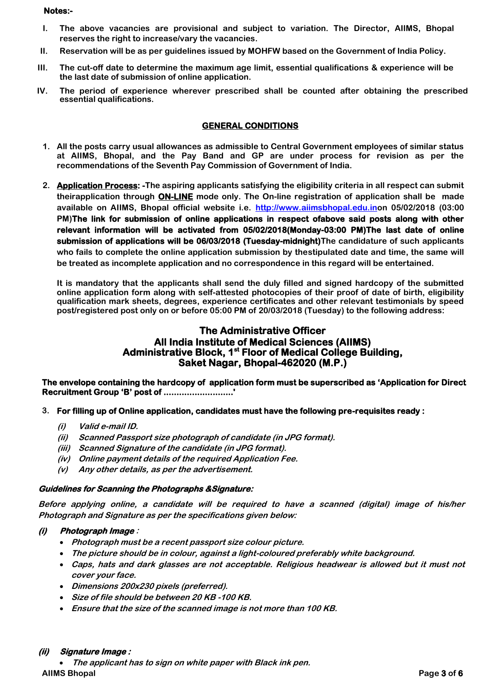#### **Notes:-**

- **I. The above vacancies are provisional and subject to variation. The Director, AIIMS, Bhopal reserves the right to increase/vary the vacancies.**
- **II. Reservation will be as per guidelines issued by MOHFW based on the Government of India Policy.**
- **III. The cut-off date to determine the maximum age limit, essential qualifications & experience will be the last date of submission of online application.**
- **IV. The period of experience wherever prescribed shall be counted after obtaining the prescribed essential qualifications.**

# **GENERAL CONDITIONS**

- **1. All the posts carry usual allowances as admissible to Central Government employees of similar status at AIIMS, Bhopal, and the Pay Band and GP are under process for revision as per the recommendations of the Seventh Pay Commission of Government of India.**
- **2. Application Process: -The aspiring applicants satisfying the eligibility criteria in all respect can submit theirapplication through ON-LINE mode only. The On-line registration of application shall be made available on AIIMS, Bhopal official website i.e. http://www.aiimsbhopal.edu.inon 05/02/2018 (03:00 PM)The link for submission of online applications in respect ofabove said posts along with other relevant information will be activated from 05/02/2018(Monday-03:00 PM)The last date of online submission of applications will be 06/03/2018 (Tuesday-midnight)The candidature of such applicants who fails to complete the online application submission by thestipulated date and time, the same will be treated as incomplete application and no correspondence in this regard will be entertained.**

**It is mandatory that the applicants shall send the duly filled and signed hardcopy of the submitted online application form along with self-attested photocopies of their proof of date of birth, eligibility qualification mark sheets, degrees, experience certificates and other relevant testimonials by speed post/registered post only on or before 05:00 PM of 20/03/2018 (Tuesday) to the following address:**

# **The Administrative Officer All India Institute of Medical Sciences (AIIMS) Administrative Block, 1st Floor of Medical College Building, Saket Nagar, Bhopal-462020 (M.P.)**

**The envelope containing the hardcopy of application form must be superscribed as 'Application for Direct Recruitment Group 'B' post of ...........................'** 

## **3. For filling up of Online application, candidates must have the following pre-requisites ready :**

- **(i) Valid e-mail ID.**
- **(ii) Scanned Passport size photograph of candidate (in JPG format).**
- **(iii) Scanned Signature of the candidate (in JPG format).**
- **(iv) Online payment details of the required Application Fee.**
- **(v) Any other details, as per the advertisement.**

## **Guidelines for Scanning the Photographs &Signature:**

**Before applying online, a candidate will be required to have a scanned (digital) image of his/her Photograph and Signature as per the specifications given below:**

# **(i) Photograph Image :**

- **Photograph must be a recent passport size colour picture.**
- **The picture should be in colour, against a light-coloured preferably white background.**
- **Caps, hats and dark glasses are not acceptable. Religious headwear is allowed but it must not cover your face.**
- **Dimensions 200x230 pixels (preferred).**
- **Size of file should be between 20 KB -100 KB.**
- **Ensure that the size of the scanned image is not more than 100 KB.**

## **(ii) Signature Image :**

**AIIMS Bhopal Page 3 of 6 The applicant has to sign on white paper with Black ink pen.**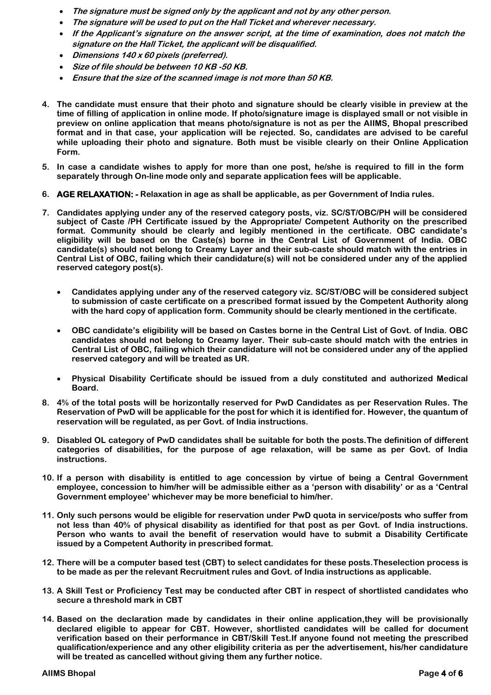- **The signature must be signed only by the applicant and not by any other person.**
- **The signature will be used to put on the Hall Ticket and wherever necessary.**
- **If the Applicant's signature on the answer script, at the time of examination, does not match the signature on the Hall Ticket, the applicant will be disqualified.**
- **Dimensions 140 x 60 pixels (preferred).**
- **Size of file should be between 10 KB -50 KB.**
- **Ensure that the size of the scanned image is not more than 50 KB.**
- **4. The candidate must ensure that their photo and signature should be clearly visible in preview at the time of filling of application in online mode. If photo/signature image is displayed small or not visible in preview on online application that means photo/signature is not as per the AIIMS, Bhopal prescribed format and in that case, your application will be rejected. So, candidates are advised to be careful while uploading their photo and signature. Both must be visible clearly on their Online Application Form.**
- **5. In case a candidate wishes to apply for more than one post, he/she is required to fill in the form separately through On-line mode only and separate application fees will be applicable.**
- **6. AGE RELAXATION: - Relaxation in age as shall be applicable, as per Government of India rules.**
- **7. Candidates applying under any of the reserved category posts, viz. SC/ST/OBC/PH will be considered subject of Caste /PH Certificate issued by the Appropriate/ Competent Authority on the prescribed format. Community should be clearly and legibly mentioned in the certificate. OBC candidate's eligibility will be based on the Caste(s) borne in the Central List of Government of India. OBC candidate(s) should not belong to Creamy Layer and their sub-caste should match with the entries in Central List of OBC, failing which their candidature(s) will not be considered under any of the applied reserved category post(s).** 
	- **Candidates applying under any of the reserved category viz. SC/ST/OBC will be considered subject to submission of caste certificate on a prescribed format issued by the Competent Authority along with the hard copy of application form. Community should be clearly mentioned in the certificate.**
	- **OBC candidate's eligibility will be based on Castes borne in the Central List of Govt. of India. OBC candidates should not belong to Creamy layer. Their sub-caste should match with the entries in Central List of OBC, failing which their candidature will not be considered under any of the applied reserved category and will be treated as UR.**
	- **Physical Disability Certificate should be issued from a duly constituted and authorized Medical Board.**
- **8. 4% of the total posts will be horizontally reserved for PwD Candidates as per Reservation Rules. The Reservation of PwD will be applicable for the post for which it is identified for. However, the quantum of reservation will be regulated, as per Govt. of India instructions.**
- **9. Disabled OL category of PwD candidates shall be suitable for both the posts.The definition of different categories of disabilities, for the purpose of age relaxation, will be same as per Govt. of India instructions.**
- **10. If a person with disability is entitled to age concession by virtue of being a Central Government employee, concession to him/her will be admissible either as a 'person with disability' or as a 'Central Government employee' whichever may be more beneficial to him/her.**
- **11. Only such persons would be eligible for reservation under PwD quota in service/posts who suffer from not less than 40% of physical disability as identified for that post as per Govt. of India instructions. Person who wants to avail the benefit of reservation would have to submit a Disability Certificate issued by a Competent Authority in prescribed format.**
- **12. There will be a computer based test (CBT) to select candidates for these posts.Theselection process is to be made as per the relevant Recruitment rules and Govt. of India instructions as applicable.**
- **13. A Skill Test or Proficiency Test may be conducted after CBT in respect of shortlisted candidates who secure a threshold mark in CBT**
- **14. Based on the declaration made by candidates in their online application,they will be provisionally declared eligible to appear for CBT. However, shortlisted candidates will be called for document verification based on their performance in CBT/Skill Test.If anyone found not meeting the prescribed qualification/experience and any other eligibility criteria as per the advertisement, his/her candidature will be treated as cancelled without giving them any further notice.**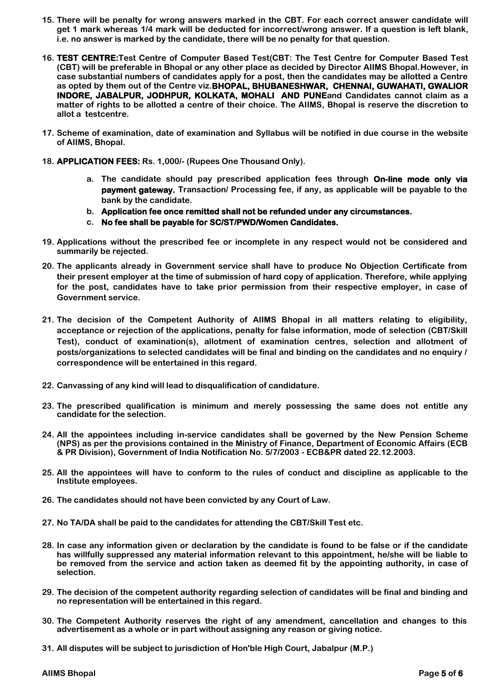- **15. There will be penalty for wrong answers marked in the CBT. For each correct answer candidate will get 1 mark whereas 1/4 mark will be deducted for incorrect/wrong answer. If a question is left blank, i.e. no answer is marked by the candidate, there will be no penalty for that question.**
- **16. TEST CENTRE:Test Centre of Computer Based Test(CBT: The Test Centre for Computer Based Test (CBT) will be preferable in Bhopal or any other place as decided by Director AIIMS Bhopal.However, in case substantial numbers of candidates apply for a post, then the candidates may be allotted a Centre as opted by them out of the Centre viz.BHOPAL, BHUBANESHWAR, CHENNAI, GUWAHATI, GWALIOR INDORE, JABALPUR, JODHPUR, KOLKATA, MOHALI AND PUNEand Candidates cannot claim as a matter of rights to be allotted a centre of their choice. The AIIMS, Bhopal is reserve the discretion to allot a testcentre.**
- **17. Scheme of examination, date of examination and Syllabus will be notified in due course in the website of AIIMS, Bhopal.**
- **18. APPLICATION FEES: Rs. 1,000/- (Rupees One Thousand Only).**
	- **a. The candidate should pay prescribed application fees through On-line mode only via payment gateway. Transaction/ Processing fee, if any, as applicable will be payable to the bank by the candidate.**
	- **b. Application fee once remitted shall not be refunded under any circumstances.**
	- **c. No fee shall be payable for SC/ST/PWD/Women Candidates.**
- **19. Applications without the prescribed fee or incomplete in any respect would not be considered and summarily be rejected.**
- **20. The applicants already in Government service shall have to produce No Objection Certificate from their present employer at the time of submission of hard copy of application. Therefore, while applying for the post, candidates have to take prior permission from their respective employer, in case of Government service.**
- **21. The decision of the Competent Authority of AIIMS Bhopal in all matters relating to eligibility, acceptance or rejection of the applications, penalty for false information, mode of selection (CBT/Skill Test), conduct of examination(s), allotment of examination centres, selection and allotment of posts/organizations to selected candidates will be final and binding on the candidates and no enquiry / correspondence will be entertained in this regard.**
- **22. Canvassing of any kind will lead to disqualification of candidature.**
- **23. The prescribed qualification is minimum and merely possessing the same does not entitle any candidate for the selection.**
- **24. All the appointees including in-service candidates shall be governed by the New Pension Scheme (NPS) as per the provisions contained in the Ministry of Finance, Department of Economic Affairs (ECB & PR Division), Government of India Notification No. 5/7/2003 - ECB&PR dated 22.12.2003.**
- **25. All the appointees will have to conform to the rules of conduct and discipline as applicable to the Institute employees.**
- **26. The candidates should not have been convicted by any Court of Law.**
- **27. No TA/DA shall be paid to the candidates for attending the CBT/Skill Test etc.**
- **28. In case any information given or declaration by the candidate is found to be false or if the candidate has willfully suppressed any material information relevant to this appointment, he/she will be liable to be removed from the service and action taken as deemed fit by the appointing authority, in case of selection.**
- **29. The decision of the competent authority regarding selection of candidates will be final and binding and no representation will be entertained in this regard.**
- **30. The Competent Authority reserves the right of any amendment, cancellation and changes to this advertisement as a whole or in part without assigning any reason or giving notice.**
- **31. All disputes will be subject to jurisdiction of Hon'ble High Court, Jabalpur (M.P.)**